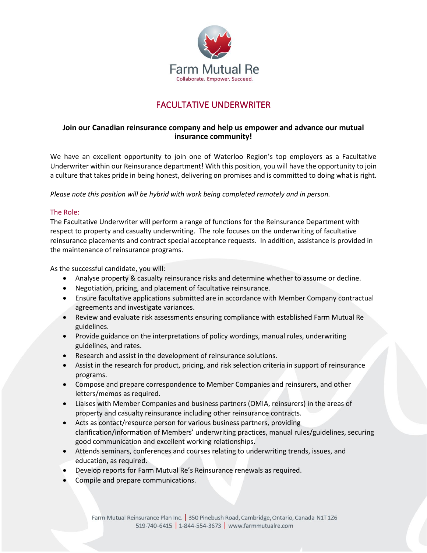

# FACULTATIVE UNDERWRITER

## **Join our Canadian reinsurance company and help us empower and advance our mutual insurance community!**

We have an excellent opportunity to join one of Waterloo Region's top employers as a Facultative Underwriter within our Reinsurance department! With this position, you will have the opportunity to join a culture that takes pride in being honest, delivering on promises and is committed to doing what is right.

*Please note this position will be hybrid with work being completed remotely and in person.*

#### The Role:

The Facultative Underwriter will perform a range of functions for the Reinsurance Department with respect to property and casualty underwriting. The role focuses on the underwriting of facultative reinsurance placements and contract special acceptance requests. In addition, assistance is provided in the maintenance of reinsurance programs.

As the successful candidate, you will:

- Analyse property & casualty reinsurance risks and determine whether to assume or decline.
- Negotiation, pricing, and placement of facultative reinsurance.
- Ensure facultative applications submitted are in accordance with Member Company contractual agreements and investigate variances.
- Review and evaluate risk assessments ensuring compliance with established Farm Mutual Re guidelines.
- Provide guidance on the interpretations of policy wordings, manual rules, underwriting guidelines, and rates.
- Research and assist in the development of reinsurance solutions.
- Assist in the research for product, pricing, and risk selection criteria in support of reinsurance programs.
- Compose and prepare correspondence to Member Companies and reinsurers, and other letters/memos as required.
- Liaises with Member Companies and business partners (OMIA, reinsurers) in the areas of property and casualty reinsurance including other reinsurance contracts.
- Acts as contact/resource person for various business partners, providing clarification/information of Members' underwriting practices, manual rules/guidelines, securing good communication and excellent working relationships.
- Attends seminars, conferences and courses relating to underwriting trends, issues, and education, as required.
- Develop reports for Farm Mutual Re's Reinsurance renewals as required.
- Compile and prepare communications.